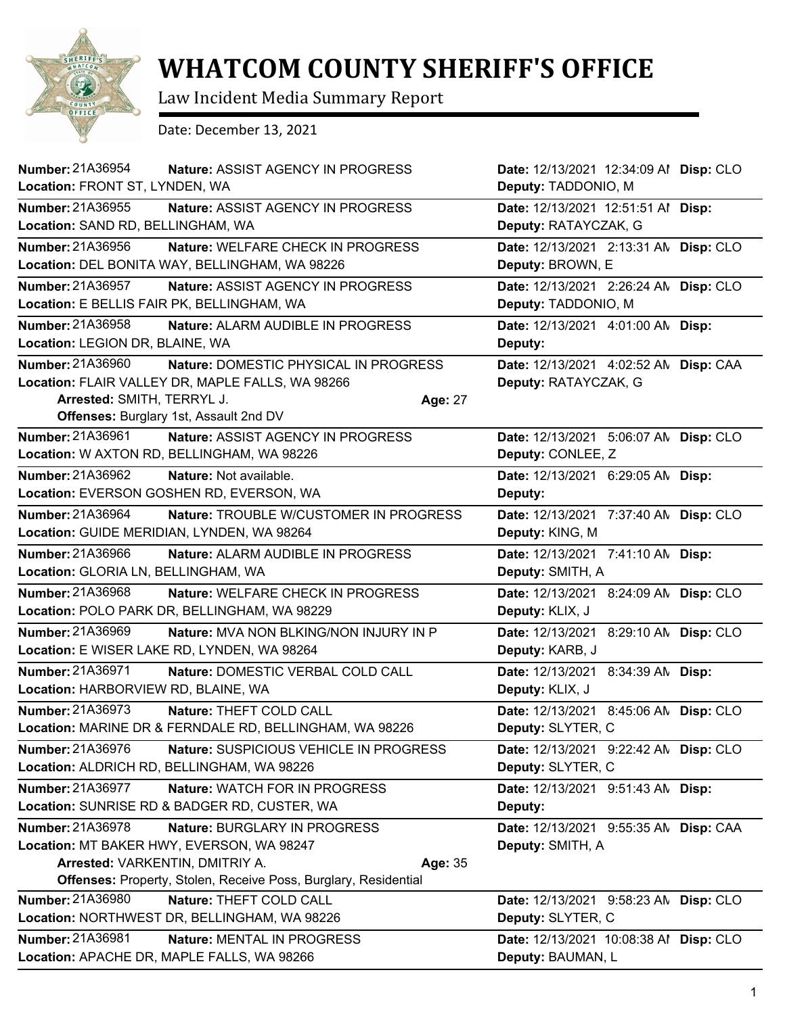

## **WHATCOM COUNTY SHERIFF'S OFFICE**

Law Incident Media Summary Report

Date: December 13, 2021

| <b>Number: 21A36954</b><br>Nature: ASSIST AGENCY IN PROGRESS<br>Location: FRONT ST, LYNDEN, WA                                                                                                                 | Date: 12/13/2021 12:34:09 Al Disp: CLO<br>Deputy: TADDONIO, M    |
|----------------------------------------------------------------------------------------------------------------------------------------------------------------------------------------------------------------|------------------------------------------------------------------|
| Number: 21A36955<br>Nature: ASSIST AGENCY IN PROGRESS<br>Location: SAND RD, BELLINGHAM, WA                                                                                                                     | Date: 12/13/2021 12:51:51 Al Disp:<br>Deputy: RATAYCZAK, G       |
| Number: 21A36956<br>Nature: WELFARE CHECK IN PROGRESS<br>Location: DEL BONITA WAY, BELLINGHAM, WA 98226                                                                                                        | Date: 12/13/2021 2:13:31 AN Disp: CLO<br>Deputy: BROWN, E        |
| Number: 21A36957<br>Nature: ASSIST AGENCY IN PROGRESS<br>Location: E BELLIS FAIR PK, BELLINGHAM, WA                                                                                                            | Date: 12/13/2021 2:26:24 AN Disp: CLO<br>Deputy: TADDONIO, M     |
| Number: 21A36958<br>Nature: ALARM AUDIBLE IN PROGRESS<br>Location: LEGION DR, BLAINE, WA                                                                                                                       | Date: 12/13/2021 4:01:00 AN Disp:<br>Deputy:                     |
| Number: 21A36960<br>Nature: DOMESTIC PHYSICAL IN PROGRESS<br>Location: FLAIR VALLEY DR, MAPLE FALLS, WA 98266<br>Arrested: SMITH, TERRYL J.<br>Age: 27<br>Offenses: Burglary 1st, Assault 2nd DV               | Date: 12/13/2021 4:02:52 AM<br>Disp: CAA<br>Deputy: RATAYCZAK, G |
| Number: 21A36961<br><b>Nature: ASSIST AGENCY IN PROGRESS</b><br>Location: W AXTON RD, BELLINGHAM, WA 98226                                                                                                     | Date: 12/13/2021 5:06:07 AN Disp: CLO<br>Deputy: CONLEE, Z       |
| Number: 21A36962<br>Nature: Not available.<br>Location: EVERSON GOSHEN RD, EVERSON, WA                                                                                                                         | Date: 12/13/2021 6:29:05 AN Disp:<br>Deputy:                     |
| Number: 21A36964<br>Nature: TROUBLE W/CUSTOMER IN PROGRESS<br>Location: GUIDE MERIDIAN, LYNDEN, WA 98264                                                                                                       | Date: 12/13/2021 7:37:40 AN Disp: CLO<br>Deputy: KING, M         |
| <b>Number: 21A36966</b><br>Nature: ALARM AUDIBLE IN PROGRESS<br>Location: GLORIA LN, BELLINGHAM, WA                                                                                                            | Date: 12/13/2021 7:41:10 AN Disp:<br>Deputy: SMITH, A            |
| Number: 21A36968<br>Nature: WELFARE CHECK IN PROGRESS<br>Location: POLO PARK DR, BELLINGHAM, WA 98229                                                                                                          | Date: 12/13/2021 8:24:09 AN Disp: CLO<br>Deputy: KLIX, J         |
| Number: 21A36969<br>Nature: MVA NON BLKING/NON INJURY IN P<br>Location: E WISER LAKE RD, LYNDEN, WA 98264                                                                                                      | Date: 12/13/2021 8:29:10 AN Disp: CLO<br>Deputy: KARB, J         |
| Number: 21A36971<br>Nature: DOMESTIC VERBAL COLD CALL<br>Location: HARBORVIEW RD, BLAINE, WA                                                                                                                   | Date: 12/13/2021 8:34:39 AN Disp:<br>Deputy: KLIX, J             |
| Number: 21A36973<br>Nature: THEFT COLD CALL<br>Location: MARINE DR & FERNDALE RD, BELLINGHAM, WA 98226                                                                                                         | Date: 12/13/2021 8:45:06 AN Disp: CLO<br>Deputy: SLYTER, C       |
| Number: 21A36976<br><b>Nature: SUSPICIOUS VEHICLE IN PROGRESS</b><br>Location: ALDRICH RD, BELLINGHAM, WA 98226                                                                                                | Date: 12/13/2021 9:22:42 AN Disp: CLO<br>Deputy: SLYTER, C       |
| Number: 21A36977<br>Nature: WATCH FOR IN PROGRESS<br>Location: SUNRISE RD & BADGER RD, CUSTER, WA                                                                                                              | Date: 12/13/2021 9:51:43 AN Disp:<br>Deputy:                     |
| Number: 21A36978<br>Nature: BURGLARY IN PROGRESS<br>Location: MT BAKER HWY, EVERSON, WA 98247<br>Arrested: VARKENTIN, DMITRIY A.<br>Age: 35<br>Offenses: Property, Stolen, Receive Poss, Burglary, Residential | Date: 12/13/2021 9:55:35 AN Disp: CAA<br>Deputy: SMITH, A        |
| Number: 21A36980<br>Nature: THEFT COLD CALL<br>Location: NORTHWEST DR, BELLINGHAM, WA 98226                                                                                                                    | Date: 12/13/2021 9:58:23 AN Disp: CLO<br>Deputy: SLYTER, C       |
| Number: 21A36981<br>Nature: MENTAL IN PROGRESS<br>Location: APACHE DR, MAPLE FALLS, WA 98266                                                                                                                   | Date: 12/13/2021 10:08:38 Al Disp: CLO<br>Deputy: BAUMAN, L      |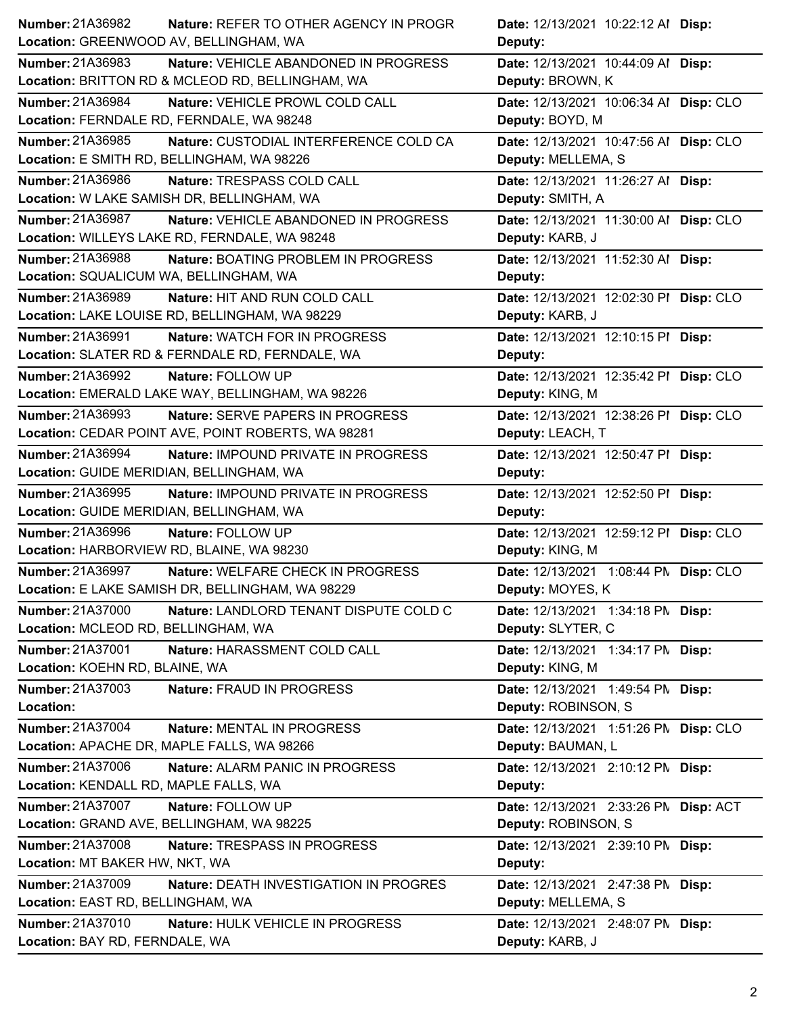| Number: 21A36982                           | Nature: REFER TO OTHER AGENCY IN PROGR             | Date: 12/13/2021 10:22:12 Al Disp:     |  |
|--------------------------------------------|----------------------------------------------------|----------------------------------------|--|
| Location: GREENWOOD AV, BELLINGHAM, WA     |                                                    | Deputy:                                |  |
| Number: 21A36983                           | Nature: VEHICLE ABANDONED IN PROGRESS              | Date: 12/13/2021 10:44:09 Al Disp:     |  |
|                                            | Location: BRITTON RD & MCLEOD RD, BELLINGHAM, WA   | Deputy: BROWN, K                       |  |
| Number: 21A36984                           | Nature: VEHICLE PROWL COLD CALL                    | Date: 12/13/2021 10:06:34 Al Disp: CLO |  |
| Location: FERNDALE RD, FERNDALE, WA 98248  |                                                    | Deputy: BOYD, M                        |  |
| Number: 21A36985                           | Nature: CUSTODIAL INTERFERENCE COLD CA             | Date: 12/13/2021 10:47:56 Al Disp: CLO |  |
| Location: E SMITH RD, BELLINGHAM, WA 98226 |                                                    | Deputy: MELLEMA, S                     |  |
| Number: 21A36986                           | Nature: TRESPASS COLD CALL                         | Date: 12/13/2021 11:26:27 Al Disp:     |  |
|                                            | Location: W LAKE SAMISH DR, BELLINGHAM, WA         | Deputy: SMITH, A                       |  |
| <b>Number: 21A36987</b>                    | Nature: VEHICLE ABANDONED IN PROGRESS              | Date: 12/13/2021 11:30:00 Al Disp: CLO |  |
|                                            | Location: WILLEYS LAKE RD, FERNDALE, WA 98248      | Deputy: KARB, J                        |  |
| Number: 21A36988                           | Nature: BOATING PROBLEM IN PROGRESS                | Date: 12/13/2021 11:52:30 Al Disp:     |  |
| Location: SQUALICUM WA, BELLINGHAM, WA     |                                                    | Deputy:                                |  |
| Number: 21A36989                           | Nature: HIT AND RUN COLD CALL                      | Date: 12/13/2021 12:02:30 PI Disp: CLO |  |
|                                            | Location: LAKE LOUISE RD, BELLINGHAM, WA 98229     | Deputy: KARB, J                        |  |
| Number: 21A36991                           | <b>Nature: WATCH FOR IN PROGRESS</b>               | Date: 12/13/2021 12:10:15 PI Disp:     |  |
|                                            | Location: SLATER RD & FERNDALE RD, FERNDALE, WA    | Deputy:                                |  |
| Number: 21A36992                           | Nature: FOLLOW UP                                  | Date: 12/13/2021 12:35:42 PI Disp: CLO |  |
|                                            | Location: EMERALD LAKE WAY, BELLINGHAM, WA 98226   | Deputy: KING, M                        |  |
| Number: 21A36993                           | Nature: SERVE PAPERS IN PROGRESS                   | Date: 12/13/2021 12:38:26 PI Disp: CLO |  |
|                                            | Location: CEDAR POINT AVE, POINT ROBERTS, WA 98281 | Deputy: LEACH, T                       |  |
| Number: 21A36994                           | Nature: IMPOUND PRIVATE IN PROGRESS                | Date: 12/13/2021 12:50:47 PI Disp:     |  |
| Location: GUIDE MERIDIAN, BELLINGHAM, WA   |                                                    | Deputy:                                |  |
| Number: 21A36995                           | Nature: IMPOUND PRIVATE IN PROGRESS                | Date: 12/13/2021 12:52:50 PI Disp:     |  |
| Location: GUIDE MERIDIAN, BELLINGHAM, WA   |                                                    | Deputy:                                |  |
| Number: 21A36996                           | Nature: FOLLOW UP                                  | Date: 12/13/2021 12:59:12 PI Disp: CLO |  |
| Location: HARBORVIEW RD, BLAINE, WA 98230  |                                                    | Deputy: KING, M                        |  |
| Number: 21A36997                           | Nature: WELFARE CHECK IN PROGRESS                  | Date: 12/13/2021 1:08:44 PN Disp: CLO  |  |
|                                            | Location: E LAKE SAMISH DR, BELLINGHAM, WA 98229   | Deputy: MOYES, K                       |  |
| <b>Number: 21A37000</b>                    | Nature: LANDLORD TENANT DISPUTE COLD C             | Date: 12/13/2021 1:34:18 PM Disp:      |  |
| Location: MCLEOD RD, BELLINGHAM, WA        |                                                    | Deputy: SLYTER, C                      |  |
| Number: 21A37001                           | Nature: HARASSMENT COLD CALL                       | Date: 12/13/2021 1:34:17 PM Disp:      |  |
| Location: KOEHN RD, BLAINE, WA             |                                                    | Deputy: KING, M                        |  |
| Number: 21A37003                           | Nature: FRAUD IN PROGRESS                          | Date: 12/13/2021 1:49:54 PM Disp:      |  |
| Location:                                  |                                                    | Deputy: ROBINSON, S                    |  |
| Number: 21A37004                           | Nature: MENTAL IN PROGRESS                         | Date: 12/13/2021 1:51:26 PM Disp: CLO  |  |
| Location: APACHE DR, MAPLE FALLS, WA 98266 |                                                    | Deputy: BAUMAN, L                      |  |
| Number: 21A37006                           | Nature: ALARM PANIC IN PROGRESS                    | Date: 12/13/2021 2:10:12 PM Disp:      |  |
| Location: KENDALL RD, MAPLE FALLS, WA      |                                                    | Deputy:                                |  |
| Number: 21A37007                           | Nature: FOLLOW UP                                  | Date: 12/13/2021 2:33:26 PN Disp: ACT  |  |
|                                            |                                                    |                                        |  |
| Location: GRAND AVE, BELLINGHAM, WA 98225  |                                                    | Deputy: ROBINSON, S                    |  |
| Number: 21A37008                           | Nature: TRESPASS IN PROGRESS                       | Date: 12/13/2021 2:39:10 PM Disp:      |  |
| Location: MT BAKER HW, NKT, WA             |                                                    | Deputy:                                |  |
| <b>Number: 21A37009</b>                    | Nature: DEATH INVESTIGATION IN PROGRES             | Date: 12/13/2021 2:47:38 PM Disp:      |  |
| Location: EAST RD, BELLINGHAM, WA          |                                                    | Deputy: MELLEMA, S                     |  |
| Number: 21A37010                           | Nature: HULK VEHICLE IN PROGRESS                   | Date: 12/13/2021 2:48:07 PM Disp:      |  |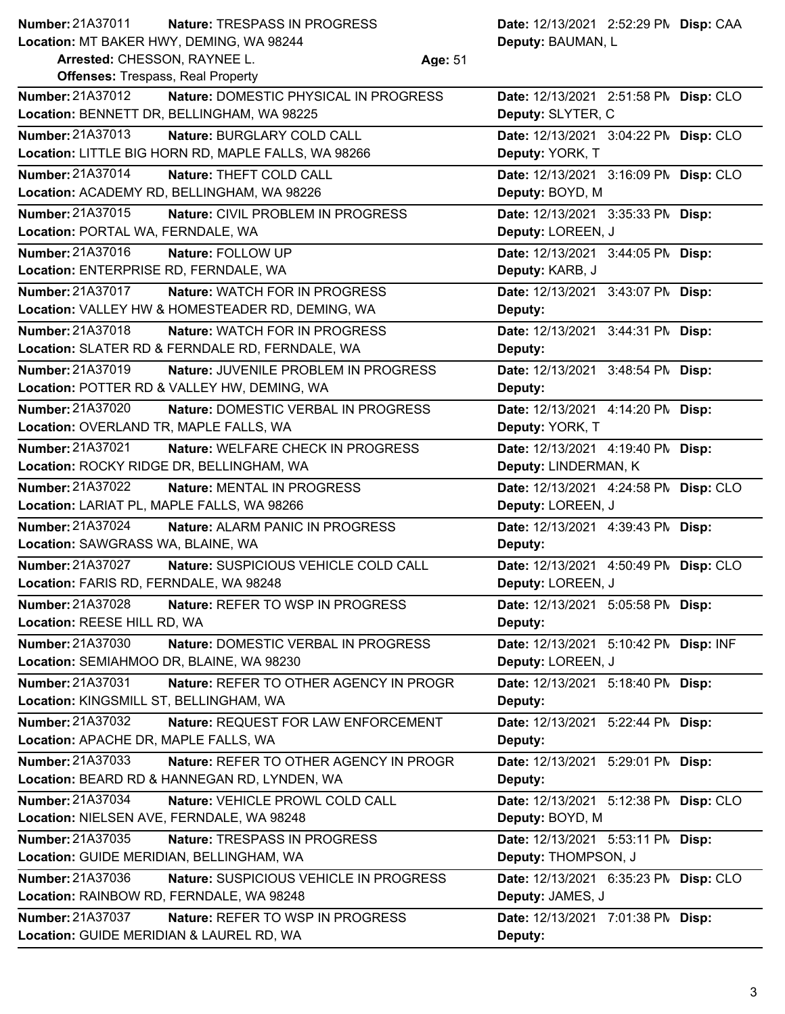| <b>Number: 21A37011</b>                                                  | Nature: TRESPASS IN PROGRESS                        |         | Date: 12/13/2021 2:52:29 PN Disp: CAA |  |
|--------------------------------------------------------------------------|-----------------------------------------------------|---------|---------------------------------------|--|
| Location: MT BAKER HWY, DEMING, WA 98244<br>Arrested: CHESSON, RAYNEE L. |                                                     | Age: 51 | Deputy: BAUMAN, L                     |  |
| <b>Offenses: Trespass, Real Property</b>                                 |                                                     |         |                                       |  |
| <b>Number: 21A37012</b>                                                  | Nature: DOMESTIC PHYSICAL IN PROGRESS               |         | Date: 12/13/2021 2:51:58 PM Disp: CLO |  |
|                                                                          | Location: BENNETT DR, BELLINGHAM, WA 98225          |         | Deputy: SLYTER, C                     |  |
| Number: 21A37013                                                         | Nature: BURGLARY COLD CALL                          |         | Date: 12/13/2021 3:04:22 PN Disp: CLO |  |
|                                                                          | Location: LITTLE BIG HORN RD, MAPLE FALLS, WA 98266 |         | Deputy: YORK, T                       |  |
| Number: 21A37014                                                         | Nature: THEFT COLD CALL                             |         | Date: 12/13/2021 3:16:09 PM Disp: CLO |  |
|                                                                          | Location: ACADEMY RD, BELLINGHAM, WA 98226          |         | Deputy: BOYD, M                       |  |
| Number: 21A37015                                                         | Nature: CIVIL PROBLEM IN PROGRESS                   |         | Date: 12/13/2021 3:35:33 PM Disp:     |  |
| Location: PORTAL WA, FERNDALE, WA                                        |                                                     |         | Deputy: LOREEN, J                     |  |
| Number: 21A37016                                                         | Nature: FOLLOW UP                                   |         | Date: 12/13/2021 3:44:05 PM Disp:     |  |
| Location: ENTERPRISE RD, FERNDALE, WA                                    |                                                     |         | Deputy: KARB, J                       |  |
| Number: 21A37017                                                         | <b>Nature: WATCH FOR IN PROGRESS</b>                |         | Date: 12/13/2021 3:43:07 PM Disp:     |  |
|                                                                          | Location: VALLEY HW & HOMESTEADER RD, DEMING, WA    |         | Deputy:                               |  |
| Number: 21A37018                                                         | Nature: WATCH FOR IN PROGRESS                       |         | Date: 12/13/2021 3:44:31 PM Disp:     |  |
|                                                                          | Location: SLATER RD & FERNDALE RD, FERNDALE, WA     |         | Deputy:                               |  |
| Number: 21A37019                                                         | Nature: JUVENILE PROBLEM IN PROGRESS                |         | Date: 12/13/2021 3:48:54 PM Disp:     |  |
|                                                                          | Location: POTTER RD & VALLEY HW, DEMING, WA         |         | Deputy:                               |  |
| Number: 21A37020                                                         | <b>Nature: DOMESTIC VERBAL IN PROGRESS</b>          |         | Date: 12/13/2021 4:14:20 PM Disp:     |  |
| Location: OVERLAND TR, MAPLE FALLS, WA                                   |                                                     |         | Deputy: YORK, T                       |  |
| Number: 21A37021                                                         | Nature: WELFARE CHECK IN PROGRESS                   |         | Date: 12/13/2021 4:19:40 PM Disp:     |  |
| Location: ROCKY RIDGE DR, BELLINGHAM, WA                                 |                                                     |         | Deputy: LINDERMAN, K                  |  |
| Number: 21A37022                                                         | Nature: MENTAL IN PROGRESS                          |         | Date: 12/13/2021 4:24:58 PN Disp: CLO |  |
| Location: LARIAT PL, MAPLE FALLS, WA 98266                               |                                                     |         | Deputy: LOREEN, J                     |  |
| Number: 21A37024                                                         | Nature: ALARM PANIC IN PROGRESS                     |         | Date: 12/13/2021 4:39:43 PM Disp:     |  |
| Location: SAWGRASS WA, BLAINE, WA                                        |                                                     |         | Deputy:                               |  |
| <b>Number: 21A37027</b>                                                  | Nature: SUSPICIOUS VEHICLE COLD CALL                |         | Date: 12/13/2021 4:50:49 PM Disp: CLO |  |
| Location: FARIS RD, FERNDALE, WA 98248                                   |                                                     |         | Deputy: LOREEN, J                     |  |
| <b>Number: 21A37028</b>                                                  | Nature: REFER TO WSP IN PROGRESS                    |         | Date: 12/13/2021 5:05:58 PM Disp:     |  |
| Location: REESE HILL RD, WA                                              |                                                     |         | Deputy:                               |  |
| Number: 21A37030                                                         | Nature: DOMESTIC VERBAL IN PROGRESS                 |         | Date: 12/13/2021 5:10:42 PM Disp: INF |  |
| Location: SEMIAHMOO DR, BLAINE, WA 98230                                 |                                                     |         | Deputy: LOREEN, J                     |  |
| Number: 21A37031                                                         | Nature: REFER TO OTHER AGENCY IN PROGR              |         | Date: 12/13/2021 5:18:40 PM Disp:     |  |
| Location: KINGSMILL ST, BELLINGHAM, WA                                   |                                                     |         | Deputy:                               |  |
| Number: 21A37032                                                         | Nature: REQUEST FOR LAW ENFORCEMENT                 |         | Date: 12/13/2021 5:22:44 PM Disp:     |  |
| Location: APACHE DR, MAPLE FALLS, WA                                     |                                                     |         | Deputy:                               |  |
| Number: 21A37033                                                         | Nature: REFER TO OTHER AGENCY IN PROGR              |         | Date: 12/13/2021 5:29:01 PM Disp:     |  |
|                                                                          | Location: BEARD RD & HANNEGAN RD, LYNDEN, WA        |         | Deputy:                               |  |
| Number: 21A37034                                                         | Nature: VEHICLE PROWL COLD CALL                     |         | Date: 12/13/2021 5:12:38 PM Disp: CLO |  |
| Location: NIELSEN AVE, FERNDALE, WA 98248                                |                                                     |         | Deputy: BOYD, M                       |  |
| Number: 21A37035                                                         | Nature: TRESPASS IN PROGRESS                        |         | Date: 12/13/2021 5:53:11 PM Disp:     |  |
| Location: GUIDE MERIDIAN, BELLINGHAM, WA                                 |                                                     |         | Deputy: THOMPSON, J                   |  |
| Number: 21A37036                                                         | Nature: SUSPICIOUS VEHICLE IN PROGRESS              |         | Date: 12/13/2021 6:35:23 PM Disp: CLO |  |
| Location: RAINBOW RD, FERNDALE, WA 98248                                 |                                                     |         | Deputy: JAMES, J                      |  |
| Number: 21A37037                                                         | Nature: REFER TO WSP IN PROGRESS                    |         | Date: 12/13/2021 7:01:38 PM Disp:     |  |
| Location: GUIDE MERIDIAN & LAUREL RD, WA                                 |                                                     |         | Deputy:                               |  |